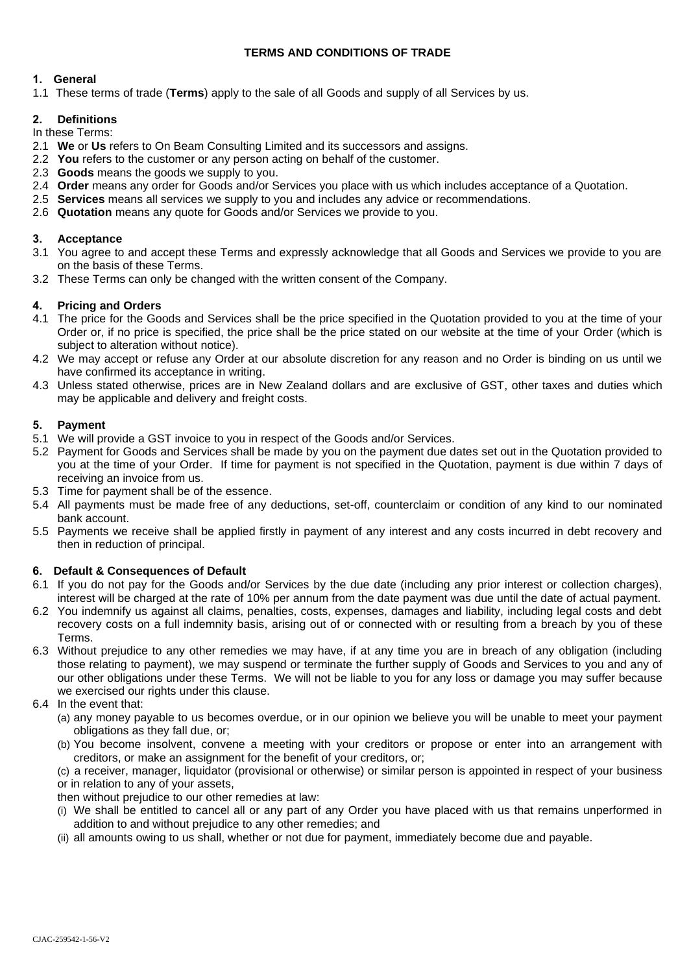# **TERMS AND CONDITIONS OF TRADE**

# **1. General**

1.1 These terms of trade (**Terms**) apply to the sale of all Goods and supply of all Services by us.

#### **2. Definitions** In these Terms:

- 2.1 **We** or **Us** refers to On Beam Consulting Limited and its successors and assigns.
- 2.2 **You** refers to the customer or any person acting on behalf of the customer.
- 2.3 **Goods** means the goods we supply to you.
- 2.4 **Order** means any order for Goods and/or Services you place with us which includes acceptance of a Quotation.
- 2.5 **Services** means all services we supply to you and includes any advice or recommendations.
- 2.6 **Quotation** means any quote for Goods and/or Services we provide to you.

# **3. Acceptance**

- 3.1 You agree to and accept these Terms and expressly acknowledge that all Goods and Services we provide to you are on the basis of these Terms.
- 3.2 These Terms can only be changed with the written consent of the Company.

# **4. Pricing and Orders**

- 4.1 The price for the Goods and Services shall be the price specified in the Quotation provided to you at the time of your Order or, if no price is specified, the price shall be the price stated on our website at the time of your Order (which is subject to alteration without notice).
- 4.2 We may accept or refuse any Order at our absolute discretion for any reason and no Order is binding on us until we have confirmed its acceptance in writing.
- 4.3 Unless stated otherwise, prices are in New Zealand dollars and are exclusive of GST, other taxes and duties which may be applicable and delivery and freight costs.

# **5. Payment**

- 5.1 We will provide a GST invoice to you in respect of the Goods and/or Services.
- 5.2 Payment for Goods and Services shall be made by you on the payment due dates set out in the Quotation provided to you at the time of your Order. If time for payment is not specified in the Quotation, payment is due within 7 days of receiving an invoice from us.
- 5.3 Time for payment shall be of the essence.
- 5.4 All payments must be made free of any deductions, set-off, counterclaim or condition of any kind to our nominated bank account.
- 5.5 Payments we receive shall be applied firstly in payment of any interest and any costs incurred in debt recovery and then in reduction of principal.

#### **6. Default & Consequences of Default**

- 6.1 If you do not pay for the Goods and/or Services by the due date (including any prior interest or collection charges), interest will be charged at the rate of 10% per annum from the date payment was due until the date of actual payment.
- 6.2 You indemnify us against all claims, penalties, costs, expenses, damages and liability, including legal costs and debt recovery costs on a full indemnity basis, arising out of or connected with or resulting from a breach by you of these Terms.
- 6.3 Without prejudice to any other remedies we may have, if at any time you are in breach of any obligation (including those relating to payment), we may suspend or terminate the further supply of Goods and Services to you and any of our other obligations under these Terms. We will not be liable to you for any loss or damage you may suffer because we exercised our rights under this clause.
- 6.4 In the event that:
	- (a) any money payable to us becomes overdue, or in our opinion we believe you will be unable to meet your payment obligations as they fall due, or;
	- (b) You become insolvent, convene a meeting with your creditors or propose or enter into an arrangement with creditors, or make an assignment for the benefit of your creditors, or;
	- (c) a receiver, manager, liquidator (provisional or otherwise) or similar person is appointed in respect of your business or in relation to any of your assets,

then without prejudice to our other remedies at law:

- (i) We shall be entitled to cancel all or any part of any Order you have placed with us that remains unperformed in addition to and without prejudice to any other remedies; and
- (ii) all amounts owing to us shall, whether or not due for payment, immediately become due and payable.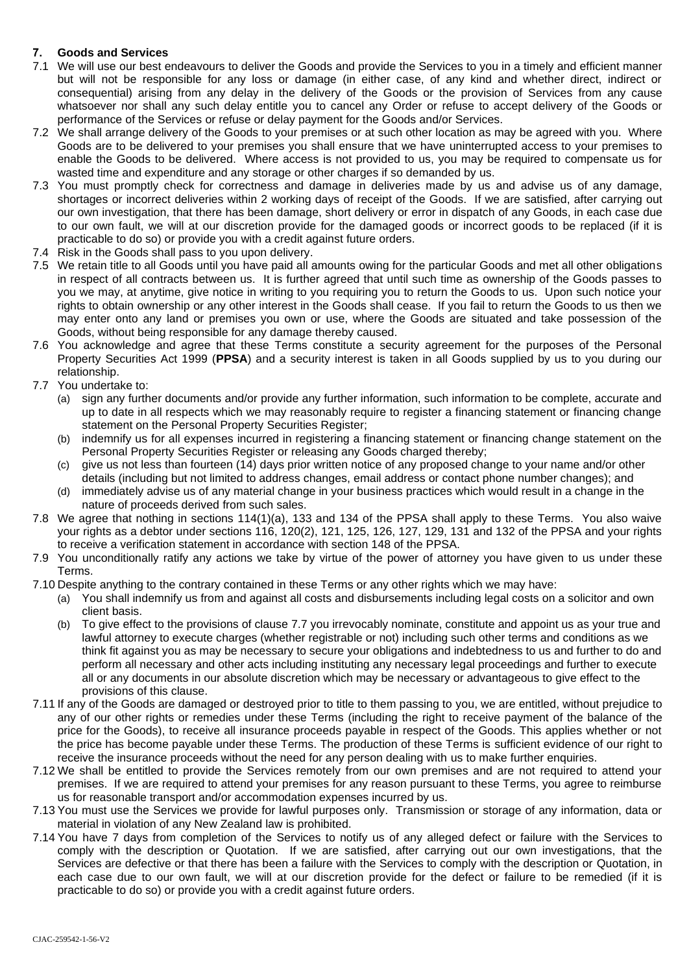# **7. Goods and Services**

- 7.1 We will use our best endeavours to deliver the Goods and provide the Services to you in a timely and efficient manner but will not be responsible for any loss or damage (in either case, of any kind and whether direct, indirect or consequential) arising from any delay in the delivery of the Goods or the provision of Services from any cause whatsoever nor shall any such delay entitle you to cancel any Order or refuse to accept delivery of the Goods or performance of the Services or refuse or delay payment for the Goods and/or Services.
- 7.2 We shall arrange delivery of the Goods to your premises or at such other location as may be agreed with you. Where Goods are to be delivered to your premises you shall ensure that we have uninterrupted access to your premises to enable the Goods to be delivered. Where access is not provided to us, you may be required to compensate us for wasted time and expenditure and any storage or other charges if so demanded by us.
- 7.3 You must promptly check for correctness and damage in deliveries made by us and advise us of any damage, shortages or incorrect deliveries within 2 working days of receipt of the Goods. If we are satisfied, after carrying out our own investigation, that there has been damage, short delivery or error in dispatch of any Goods, in each case due to our own fault, we will at our discretion provide for the damaged goods or incorrect goods to be replaced (if it is practicable to do so) or provide you with a credit against future orders.
- 7.4 Risk in the Goods shall pass to you upon delivery.
- 7.5 We retain title to all Goods until you have paid all amounts owing for the particular Goods and met all other obligations in respect of all contracts between us. It is further agreed that until such time as ownership of the Goods passes to you we may, at anytime, give notice in writing to you requiring you to return the Goods to us. Upon such notice your rights to obtain ownership or any other interest in the Goods shall cease. If you fail to return the Goods to us then we may enter onto any land or premises you own or use, where the Goods are situated and take possession of the Goods, without being responsible for any damage thereby caused.
- 7.6 You acknowledge and agree that these Terms constitute a security agreement for the purposes of the Personal Property Securities Act 1999 (**PPSA**) and a security interest is taken in all Goods supplied by us to you during our relationship.
- 7.7 You undertake to:
	- (a) sign any further documents and/or provide any further information, such information to be complete, accurate and up to date in all respects which we may reasonably require to register a financing statement or financing change statement on the Personal Property Securities Register;
	- (b) indemnify us for all expenses incurred in registering a financing statement or financing change statement on the Personal Property Securities Register or releasing any Goods charged thereby;
	- (c) give us not less than fourteen (14) days prior written notice of any proposed change to your name and/or other details (including but not limited to address changes, email address or contact phone number changes); and
	- (d) immediately advise us of any material change in your business practices which would result in a change in the nature of proceeds derived from such sales.
- 7.8 We agree that nothing in sections 114(1)(a), 133 and 134 of the PPSA shall apply to these Terms. You also waive your rights as a debtor under sections 116, 120(2), 121, 125, 126, 127, 129, 131 and 132 of the PPSA and your rights to receive a verification statement in accordance with section 148 of the PPSA.
- 7.9 You unconditionally ratify any actions we take by virtue of the power of attorney you have given to us under these Terms.
- 7.10 Despite anything to the contrary contained in these Terms or any other rights which we may have:
	- (a) You shall indemnify us from and against all costs and disbursements including legal costs on a solicitor and own client basis.
	- (b) To give effect to the provisions of clause 7.7 you irrevocably nominate, constitute and appoint us as your true and lawful attorney to execute charges (whether registrable or not) including such other terms and conditions as we think fit against you as may be necessary to secure your obligations and indebtedness to us and further to do and perform all necessary and other acts including instituting any necessary legal proceedings and further to execute all or any documents in our absolute discretion which may be necessary or advantageous to give effect to the provisions of this clause.
- 7.11 If any of the Goods are damaged or destroyed prior to title to them passing to you, we are entitled, without prejudice to any of our other rights or remedies under these Terms (including the right to receive payment of the balance of the price for the Goods), to receive all insurance proceeds payable in respect of the Goods. This applies whether or not the price has become payable under these Terms. The production of these Terms is sufficient evidence of our right to receive the insurance proceeds without the need for any person dealing with us to make further enquiries.
- 7.12 We shall be entitled to provide the Services remotely from our own premises and are not required to attend your premises. If we are required to attend your premises for any reason pursuant to these Terms, you agree to reimburse us for reasonable transport and/or accommodation expenses incurred by us.
- 7.13 You must use the Services we provide for lawful purposes only. Transmission or storage of any information, data or material in violation of any New Zealand law is prohibited.
- 7.14 You have 7 days from completion of the Services to notify us of any alleged defect or failure with the Services to comply with the description or Quotation. If we are satisfied, after carrying out our own investigations, that the Services are defective or that there has been a failure with the Services to comply with the description or Quotation, in each case due to our own fault, we will at our discretion provide for the defect or failure to be remedied (if it is practicable to do so) or provide you with a credit against future orders.